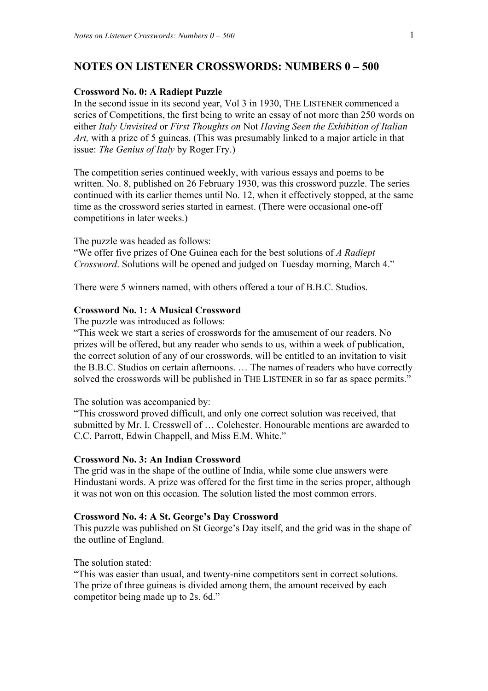# **NOTES ON LISTENER CROSSWORDS: NUMBERS 0 – 500**

### **Crossword No. 0: A Radiept Puzzle**

In the second issue in its second year, Vol 3 in 1930, THE LISTENER commenced a series of Competitions, the first being to write an essay of not more than 250 words on either *Italy Unvisited* or *First Thoughts on* Not *Having Seen the Exhibition of Italian Art,* with a prize of 5 guineas. (This was presumably linked to a major article in that issue: *The Genius of Italy* by Roger Fry.)

The competition series continued weekly, with various essays and poems to be written. No. 8, published on 26 February 1930, was this crossword puzzle. The series continued with its earlier themes until No. 12, when it effectively stopped, at the same time as the crossword series started in earnest. (There were occasional one-off competitions in later weeks.)

The puzzle was headed as follows:

"We offer five prizes of One Guinea each for the best solutions of *A Radiept Crossword*. Solutions will be opened and judged on Tuesday morning, March 4."

There were 5 winners named, with others offered a tour of B.B.C. Studios.

## **Crossword No. 1: A Musical Crossword**

The puzzle was introduced as follows:

"This week we start a series of crosswords for the amusement of our readers. No prizes will be offered, but any reader who sends to us, within a week of publication, the correct solution of any of our crosswords, will be entitled to an invitation to visit the B.B.C. Studios on certain afternoons. … The names of readers who have correctly solved the crosswords will be published in THE LISTENER in so far as space permits."

The solution was accompanied by:

"This crossword proved difficult, and only one correct solution was received, that submitted by Mr. I. Cresswell of … Colchester. Honourable mentions are awarded to C.C. Parrott, Edwin Chappell, and Miss E.M. White."

### **Crossword No. 3: An Indian Crossword**

The grid was in the shape of the outline of India, while some clue answers were Hindustani words. A prize was offered for the first time in the series proper, although it was not won on this occasion. The solution listed the most common errors.

## **Crossword No. 4: A St. George's Day Crossword**

This puzzle was published on St George's Day itself, and the grid was in the shape of the outline of England.

The solution stated:

"This was easier than usual, and twenty-nine competitors sent in correct solutions. The prize of three guineas is divided among them, the amount received by each competitor being made up to 2s. 6d."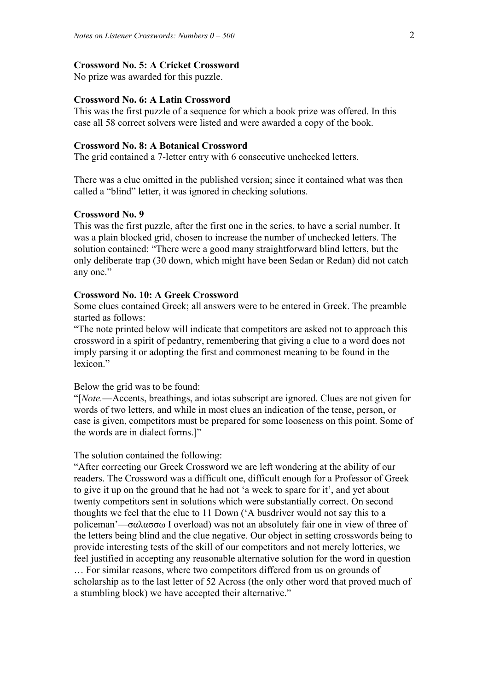### **Crossword No. 5: A Cricket Crossword**

No prize was awarded for this puzzle.

### **Crossword No. 6: A Latin Crossword**

This was the first puzzle of a sequence for which a book prize was offered. In this case all 58 correct solvers were listed and were awarded a copy of the book.

### **Crossword No. 8: A Botanical Crossword**

The grid contained a 7-letter entry with 6 consecutive unchecked letters.

There was a clue omitted in the published version; since it contained what was then called a "blind" letter, it was ignored in checking solutions.

### **Crossword No. 9**

This was the first puzzle, after the first one in the series, to have a serial number. It was a plain blocked grid, chosen to increase the number of unchecked letters. The solution contained: "There were a good many straightforward blind letters, but the only deliberate trap (30 down, which might have been Sedan or Redan) did not catch any one."

## **Crossword No. 10: A Greek Crossword**

Some clues contained Greek; all answers were to be entered in Greek. The preamble started as follows:

"The note printed below will indicate that competitors are asked not to approach this crossword in a spirit of pedantry, remembering that giving a clue to a word does not imply parsing it or adopting the first and commonest meaning to be found in the lexicon"

Below the grid was to be found:

"[*Note.*—Accents, breathings, and iotas subscript are ignored. Clues are not given for words of two letters, and while in most clues an indication of the tense, person, or case is given, competitors must be prepared for some looseness on this point. Some of the words are in dialect forms.]"

#### The solution contained the following:

"After correcting our Greek Crossword we are left wondering at the ability of our readers. The Crossword was a difficult one, difficult enough for a Professor of Greek to give it up on the ground that he had not 'a week to spare for it', and yet about twenty competitors sent in solutions which were substantially correct. On second thoughts we feel that the clue to 11 Down ('A busdriver would not say this to a policeman'—σαλασσω I overload) was not an absolutely fair one in view of three of the letters being blind and the clue negative. Our object in setting crosswords being to provide interesting tests of the skill of our competitors and not merely lotteries, we feel justified in accepting any reasonable alternative solution for the word in question … For similar reasons, where two competitors differed from us on grounds of scholarship as to the last letter of 52 Across (the only other word that proved much of a stumbling block) we have accepted their alternative."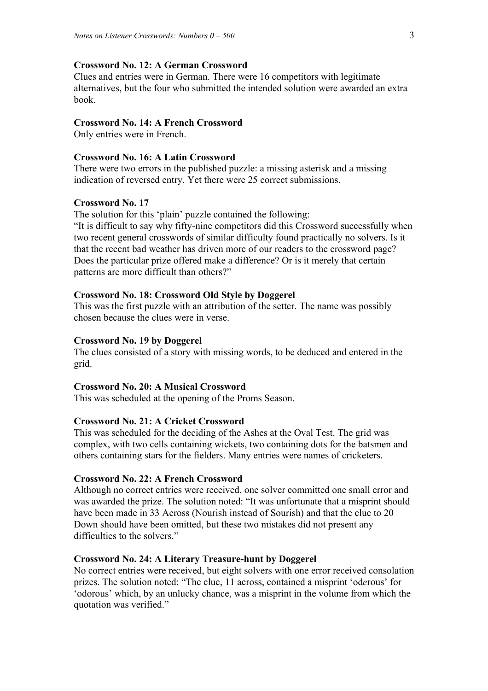### **Crossword No. 12: A German Crossword**

Clues and entries were in German. There were 16 competitors with legitimate alternatives, but the four who submitted the intended solution were awarded an extra book.

## **Crossword No. 14: A French Crossword**

Only entries were in French.

# **Crossword No. 16: A Latin Crossword**

There were two errors in the published puzzle: a missing asterisk and a missing indication of reversed entry. Yet there were 25 correct submissions.

#### **Crossword No. 17**

The solution for this 'plain' puzzle contained the following:

"It is difficult to say why fifty-nine competitors did this Crossword successfully when two recent general crosswords of similar difficulty found practically no solvers. Is it that the recent bad weather has driven more of our readers to the crossword page? Does the particular prize offered make a difference? Or is it merely that certain patterns are more difficult than others?"

### **Crossword No. 18: Crossword Old Style by Doggerel**

This was the first puzzle with an attribution of the setter. The name was possibly chosen because the clues were in verse.

#### **Crossword No. 19 by Doggerel**

The clues consisted of a story with missing words, to be deduced and entered in the grid.

### **Crossword No. 20: A Musical Crossword**

This was scheduled at the opening of the Proms Season.

### **Crossword No. 21: A Cricket Crossword**

This was scheduled for the deciding of the Ashes at the Oval Test. The grid was complex, with two cells containing wickets, two containing dots for the batsmen and others containing stars for the fielders. Many entries were names of cricketers.

#### **Crossword No. 22: A French Crossword**

Although no correct entries were received, one solver committed one small error and was awarded the prize. The solution noted: "It was unfortunate that a misprint should have been made in 33 Across (Nourish instead of Sourish) and that the clue to 20 Down should have been omitted, but these two mistakes did not present any difficulties to the solvers."

#### **Crossword No. 24: A Literary Treasure-hunt by Doggerel**

No correct entries were received, but eight solvers with one error received consolation prizes. The solution noted: "The clue, 11 across, contained a misprint 'od*e*rous' for 'odorous' which, by an unlucky chance, was a misprint in the volume from which the quotation was verified."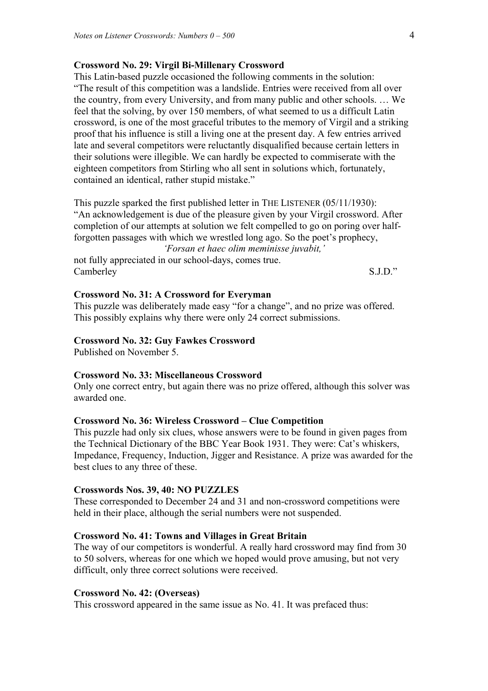### **Crossword No. 29: Virgil Bi-Millenary Crossword**

This Latin-based puzzle occasioned the following comments in the solution: "The result of this competition was a landslide. Entries were received from all over the country, from every University, and from many public and other schools. … We feel that the solving, by over 150 members, of what seemed to us a difficult Latin crossword, is one of the most graceful tributes to the memory of Virgil and a striking proof that his influence is still a living one at the present day. A few entries arrived late and several competitors were reluctantly disqualified because certain letters in their solutions were illegible. We can hardly be expected to commiserate with the eighteen competitors from Stirling who all sent in solutions which, fortunately, contained an identical, rather stupid mistake."

This puzzle sparked the first published letter in THE LISTENER (05/11/1930): "An acknowledgement is due of the pleasure given by your Virgil crossword. After completion of our attempts at solution we felt compelled to go on poring over halfforgotten passages with which we wrestled long ago. So the poet's prophecy,

*'Forsan et haec olim meminisse juvabit,'* 

not fully appreciated in our school-days, comes true. Camberley S.J.D."

## **Crossword No. 31: A Crossword for Everyman**

This puzzle was deliberately made easy "for a change", and no prize was offered. This possibly explains why there were only 24 correct submissions.

### **Crossword No. 32: Guy Fawkes Crossword**

Published on November 5.

### **Crossword No. 33: Miscellaneous Crossword**

Only one correct entry, but again there was no prize offered, although this solver was awarded one.

### **Crossword No. 36: Wireless Crossword – Clue Competition**

This puzzle had only six clues, whose answers were to be found in given pages from the Technical Dictionary of the BBC Year Book 1931. They were: Cat's whiskers, Impedance, Frequency, Induction, Jigger and Resistance. A prize was awarded for the best clues to any three of these.

#### **Crosswords Nos. 39, 40: NO PUZZLES**

These corresponded to December 24 and 31 and non-crossword competitions were held in their place, although the serial numbers were not suspended.

### **Crossword No. 41: Towns and Villages in Great Britain**

The way of our competitors is wonderful. A really hard crossword may find from 30 to 50 solvers, whereas for one which we hoped would prove amusing, but not very difficult, only three correct solutions were received.

## **Crossword No. 42: (Overseas)**

This crossword appeared in the same issue as No. 41. It was prefaced thus: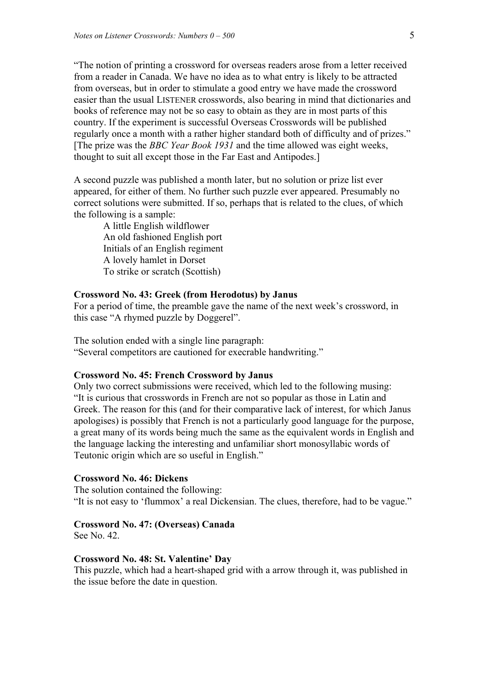"The notion of printing a crossword for overseas readers arose from a letter received from a reader in Canada. We have no idea as to what entry is likely to be attracted from overseas, but in order to stimulate a good entry we have made the crossword easier than the usual LISTENER crosswords, also bearing in mind that dictionaries and books of reference may not be so easy to obtain as they are in most parts of this country. If the experiment is successful Overseas Crosswords will be published regularly once a month with a rather higher standard both of difficulty and of prizes." [The prize was the *BBC Year Book 1931* and the time allowed was eight weeks, thought to suit all except those in the Far East and Antipodes.]

A second puzzle was published a month later, but no solution or prize list ever appeared, for either of them. No further such puzzle ever appeared. Presumably no correct solutions were submitted. If so, perhaps that is related to the clues, of which the following is a sample:

 A little English wildflower An old fashioned English port Initials of an English regiment A lovely hamlet in Dorset To strike or scratch (Scottish)

### **Crossword No. 43: Greek (from Herodotus) by Janus**

For a period of time, the preamble gave the name of the next week's crossword, in this case "A rhymed puzzle by Doggerel".

The solution ended with a single line paragraph: "Several competitors are cautioned for execrable handwriting."

### **Crossword No. 45: French Crossword by Janus**

Only two correct submissions were received, which led to the following musing: "It is curious that crosswords in French are not so popular as those in Latin and Greek. The reason for this (and for their comparative lack of interest, for which Janus apologises) is possibly that French is not a particularly good language for the purpose, a great many of its words being much the same as the equivalent words in English and the language lacking the interesting and unfamiliar short monosyllabic words of Teutonic origin which are so useful in English."

#### **Crossword No. 46: Dickens**

The solution contained the following: "It is not easy to 'flummox' a real Dickensian. The clues, therefore, had to be vague."

#### **Crossword No. 47: (Overseas) Canada**

See No. 42.

#### **Crossword No. 48: St. Valentine' Day**

This puzzle, which had a heart-shaped grid with a arrow through it, was published in the issue before the date in question.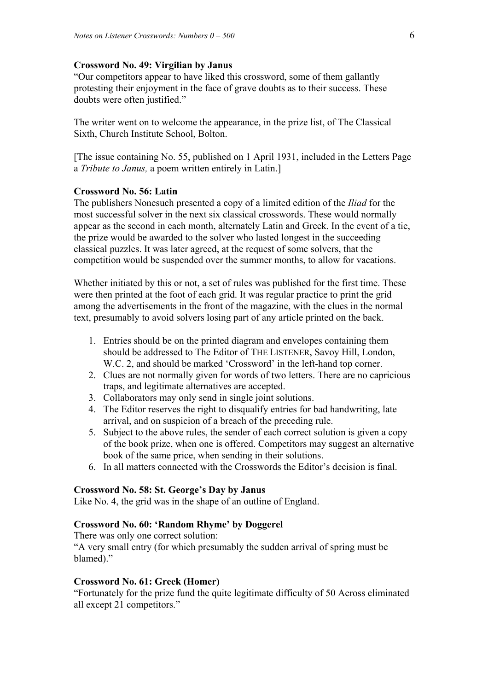### **Crossword No. 49: Virgilian by Janus**

"Our competitors appear to have liked this crossword, some of them gallantly protesting their enjoyment in the face of grave doubts as to their success. These doubts were often justified."

The writer went on to welcome the appearance, in the prize list, of The Classical Sixth, Church Institute School, Bolton.

[The issue containing No. 55, published on 1 April 1931, included in the Letters Page a *Tribute to Janus,* a poem written entirely in Latin.]

### **Crossword No. 56: Latin**

The publishers Nonesuch presented a copy of a limited edition of the *Iliad* for the most successful solver in the next six classical crosswords. These would normally appear as the second in each month, alternately Latin and Greek. In the event of a tie, the prize would be awarded to the solver who lasted longest in the succeeding classical puzzles. It was later agreed, at the request of some solvers, that the competition would be suspended over the summer months, to allow for vacations.

Whether initiated by this or not, a set of rules was published for the first time. These were then printed at the foot of each grid. It was regular practice to print the grid among the advertisements in the front of the magazine, with the clues in the normal text, presumably to avoid solvers losing part of any article printed on the back.

- 1. Entries should be on the printed diagram and envelopes containing them should be addressed to The Editor of THE LISTENER, Savoy Hill, London, W.C. 2, and should be marked 'Crossword' in the left-hand top corner.
- 2. Clues are not normally given for words of two letters. There are no capricious traps, and legitimate alternatives are accepted.
- 3. Collaborators may only send in single joint solutions.
- 4. The Editor reserves the right to disqualify entries for bad handwriting, late arrival, and on suspicion of a breach of the preceding rule.
- 5. Subject to the above rules, the sender of each correct solution is given a copy of the book prize, when one is offered. Competitors may suggest an alternative book of the same price, when sending in their solutions.
- 6. In all matters connected with the Crosswords the Editor's decision is final.

## **Crossword No. 58: St. George's Day by Janus**

Like No. 4, the grid was in the shape of an outline of England.

## **Crossword No. 60: 'Random Rhyme' by Doggerel**

There was only one correct solution:

"A very small entry (for which presumably the sudden arrival of spring must be blamed)."

## **Crossword No. 61: Greek (Homer)**

"Fortunately for the prize fund the quite legitimate difficulty of 50 Across eliminated all except 21 competitors."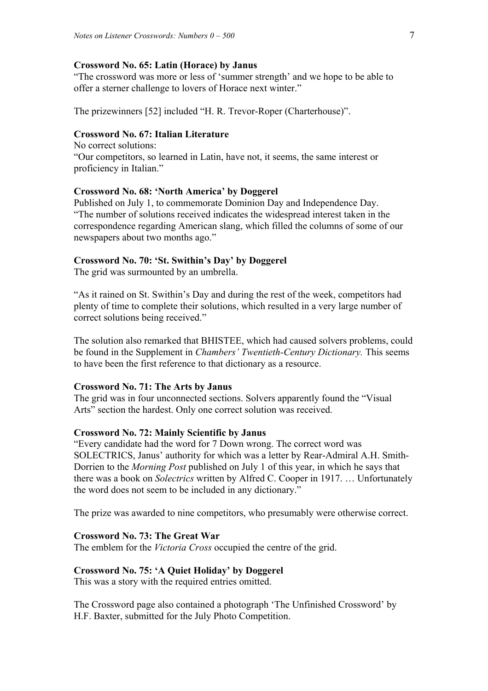### **Crossword No. 65: Latin (Horace) by Janus**

"The crossword was more or less of 'summer strength' and we hope to be able to offer a sterner challenge to lovers of Horace next winter."

The prizewinners [52] included "H. R. Trevor-Roper (Charterhouse)".

## **Crossword No. 67: Italian Literature**

No correct solutions: "Our competitors, so learned in Latin, have not, it seems, the same interest or proficiency in Italian."

### **Crossword No. 68: 'North America' by Doggerel**

Published on July 1, to commemorate Dominion Day and Independence Day. "The number of solutions received indicates the widespread interest taken in the correspondence regarding American slang, which filled the columns of some of our newspapers about two months ago."

# **Crossword No. 70: 'St. Swithin's Day' by Doggerel**

The grid was surmounted by an umbrella.

"As it rained on St. Swithin's Day and during the rest of the week, competitors had plenty of time to complete their solutions, which resulted in a very large number of correct solutions being received."

The solution also remarked that BHISTEE, which had caused solvers problems, could be found in the Supplement in *Chambers' Twentieth-Century Dictionary.* This seems to have been the first reference to that dictionary as a resource.

### **Crossword No. 71: The Arts by Janus**

The grid was in four unconnected sections. Solvers apparently found the "Visual Arts" section the hardest. Only one correct solution was received.

#### **Crossword No. 72: Mainly Scientific by Janus**

"Every candidate had the word for 7 Down wrong. The correct word was SOLECTRICS, Janus' authority for which was a letter by Rear-Admiral A.H. Smith-Dorrien to the *Morning Post* published on July 1 of this year, in which he says that there was a book on *Solectrics* written by Alfred C. Cooper in 1917. … Unfortunately the word does not seem to be included in any dictionary."

The prize was awarded to nine competitors, who presumably were otherwise correct.

# **Crossword No. 73: The Great War**

The emblem for the *Victoria Cross* occupied the centre of the grid.

## **Crossword No. 75: 'A Quiet Holiday' by Doggerel**

This was a story with the required entries omitted.

The Crossword page also contained a photograph 'The Unfinished Crossword' by H.F. Baxter, submitted for the July Photo Competition.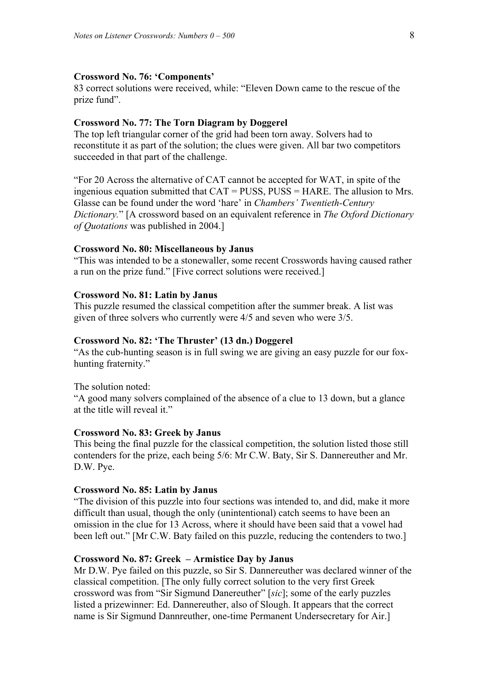# **Crossword No. 76: 'Components'**

83 correct solutions were received, while: "Eleven Down came to the rescue of the prize fund".

## **Crossword No. 77: The Torn Diagram by Doggerel**

The top left triangular corner of the grid had been torn away. Solvers had to reconstitute it as part of the solution; the clues were given. All bar two competitors succeeded in that part of the challenge.

"For 20 Across the alternative of CAT cannot be accepted for WAT, in spite of the ingenious equation submitted that CAT = PUSS, PUSS = HARE. The allusion to Mrs. Glasse can be found under the word 'hare' in *Chambers' Twentieth-Century Dictionary.*" [A crossword based on an equivalent reference in *The Oxford Dictionary of Quotations* was published in 2004.]

#### **Crossword No. 80: Miscellaneous by Janus**

"This was intended to be a stonewaller, some recent Crosswords having caused rather a run on the prize fund." [Five correct solutions were received.]

### **Crossword No. 81: Latin by Janus**

This puzzle resumed the classical competition after the summer break. A list was given of three solvers who currently were 4/5 and seven who were 3/5.

### **Crossword No. 82: 'The Thruster' (13 dn.) Doggerel**

"As the cub-hunting season is in full swing we are giving an easy puzzle for our foxhunting fraternity."

The solution noted:

"A good many solvers complained of the absence of a clue to 13 down, but a glance at the title will reveal it."

#### **Crossword No. 83: Greek by Janus**

This being the final puzzle for the classical competition, the solution listed those still contenders for the prize, each being 5/6: Mr C.W. Baty, Sir S. Dannereuther and Mr. D.W. Pye.

### **Crossword No. 85: Latin by Janus**

"The division of this puzzle into four sections was intended to, and did, make it more difficult than usual, though the only (unintentional) catch seems to have been an omission in the clue for 13 Across, where it should have been said that a vowel had been left out." [Mr C.W. Baty failed on this puzzle, reducing the contenders to two.]

### **Crossword No. 87: Greek – Armistice Day by Janus**

Mr D.W. Pye failed on this puzzle, so Sir S. Dannereuther was declared winner of the classical competition. [The only fully correct solution to the very first Greek crossword was from "Sir Sigmund Danereuther" [*sic*]; some of the early puzzles listed a prizewinner: Ed. Dannereuther, also of Slough. It appears that the correct name is Sir Sigmund Dannreuther, one-time Permanent Undersecretary for Air.]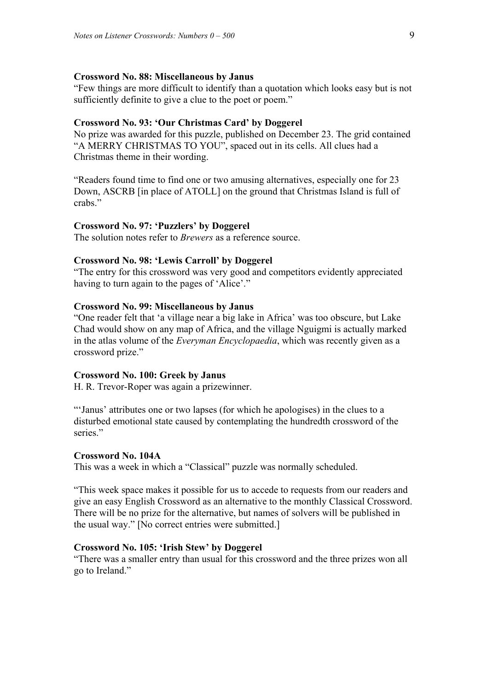### **Crossword No. 88: Miscellaneous by Janus**

"Few things are more difficult to identify than a quotation which looks easy but is not sufficiently definite to give a clue to the poet or poem."

### **Crossword No. 93: 'Our Christmas Card' by Doggerel**

No prize was awarded for this puzzle, published on December 23. The grid contained "A MERRY CHRISTMAS TO YOU", spaced out in its cells. All clues had a Christmas theme in their wording.

"Readers found time to find one or two amusing alternatives, especially one for 23 Down, ASCRB [in place of ATOLL] on the ground that Christmas Island is full of crabs."

#### **Crossword No. 97: 'Puzzlers' by Doggerel**

The solution notes refer to *Brewers* as a reference source.

### **Crossword No. 98: 'Lewis Carroll' by Doggerel**

"The entry for this crossword was very good and competitors evidently appreciated having to turn again to the pages of 'Alice'."

### **Crossword No. 99: Miscellaneous by Janus**

"One reader felt that 'a village near a big lake in Africa' was too obscure, but Lake Chad would show on any map of Africa, and the village Nguigmi is actually marked in the atlas volume of the *Everyman Encyclopaedia*, which was recently given as a crossword prize."

### **Crossword No. 100: Greek by Janus**

H. R. Trevor-Roper was again a prizewinner.

"'Janus' attributes one or two lapses (for which he apologises) in the clues to a disturbed emotional state caused by contemplating the hundredth crossword of the series"

#### **Crossword No. 104A**

This was a week in which a "Classical" puzzle was normally scheduled.

"This week space makes it possible for us to accede to requests from our readers and give an easy English Crossword as an alternative to the monthly Classical Crossword. There will be no prize for the alternative, but names of solvers will be published in the usual way." [No correct entries were submitted.]

### **Crossword No. 105: 'Irish Stew' by Doggerel**

"There was a smaller entry than usual for this crossword and the three prizes won all go to Ireland."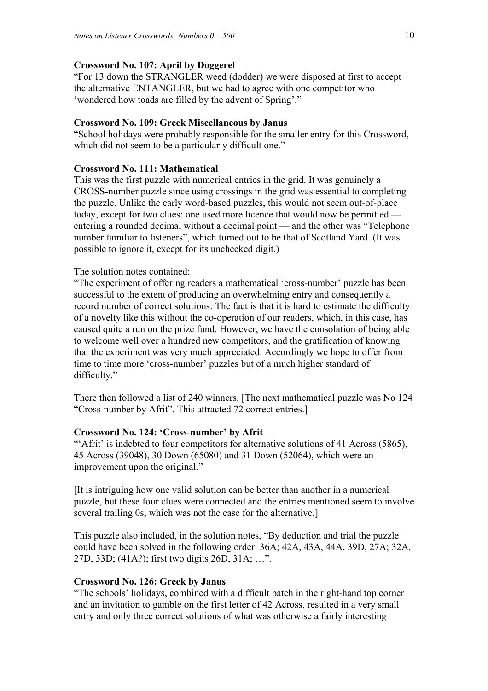# **Crossword No. 107: April by Doggerel**

"For 13 down the STRANGLER weed (dodder) we were disposed at first to accept the alternative ENTANGLER, but we had to agree with one competitor who 'wondered how toads are filled by the advent of Spring'."

# **Crossword No. 109: Greek Miscellaneous by Janus**

"School holidays were probably responsible for the smaller entry for this Crossword, which did not seem to be a particularly difficult one."

# **Crossword No. 111: Mathematical**

This was the first puzzle with numerical entries in the grid. It was genuinely a CROSS-number puzzle since using crossings in the grid was essential to completing the puzzle. Unlike the early word-based puzzles, this would not seem out-of-place today, except for two clues: one used more licence that would now be permitted entering a rounded decimal without a decimal point — and the other was "Telephone number familiar to listeners", which turned out to be that of Scotland Yard. (It was possible to ignore it, except for its unchecked digit.)

# The solution notes contained:

"The experiment of offering readers a mathematical 'cross-number' puzzle has been successful to the extent of producing an overwhelming entry and consequently a record number of correct solutions. The fact is that it is hard to estimate the difficulty of a novelty like this without the co-operation of our readers, which, in this case, has caused quite a run on the prize fund. However, we have the consolation of being able to welcome well over a hundred new competitors, and the gratification of knowing that the experiment was very much appreciated. Accordingly we hope to offer from time to time more 'cross-number' puzzles but of a much higher standard of difficulty."

There then followed a list of 240 winners. [The next mathematical puzzle was No 124 "Cross-number by Afrit". This attracted 72 correct entries.]

# **Crossword No. 124: 'Cross-number' by Afrit**

"Afrit' is indebted to four competitors for alternative solutions of 41 Across (5865), 45 Across (39048), 30 Down (65080) and 31 Down (52064), which were an improvement upon the original."

[It is intriguing how one valid solution can be better than another in a numerical puzzle, but these four clues were connected and the entries mentioned seem to involve several trailing 0s, which was not the case for the alternative.]

This puzzle also included, in the solution notes, "By deduction and trial the puzzle could have been solved in the following order: 36A; 42A, 43A, 44A, 39D, 27A; 32A, 27D, 33D; (41A?); first two digits 26D, 31A; …".

# **Crossword No. 126: Greek by Janus**

"The schools' holidays, combined with a difficult patch in the right-hand top corner and an invitation to gamble on the first letter of 42 Across, resulted in a very small entry and only three correct solutions of what was otherwise a fairly interesting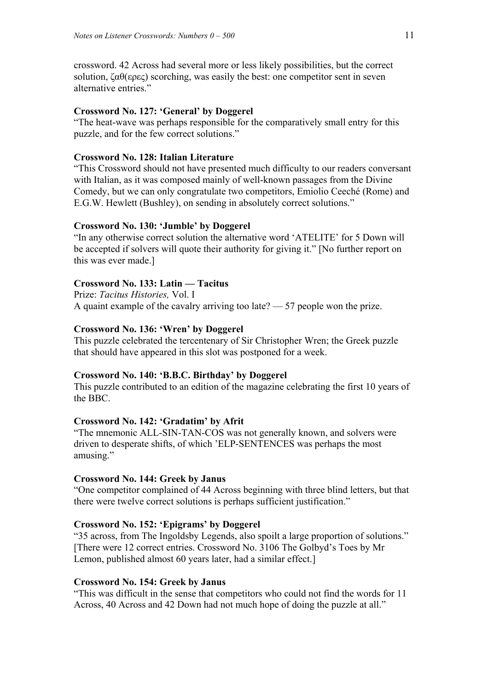crossword. 42 Across had several more or less likely possibilities, but the correct solution,  $\zeta \alpha \theta(\epsilon \rho \epsilon \zeta)$  scorching, was easily the best: one competitor sent in seven alternative entries."

## **Crossword No. 127: 'General' by Doggerel**

"The heat-wave was perhaps responsible for the comparatively small entry for this puzzle, and for the few correct solutions."

# **Crossword No. 128: Italian Literature**

"This Crossword should not have presented much difficulty to our readers conversant with Italian, as it was composed mainly of well-known passages from the Divine Comedy, but we can only congratulate two competitors, Emiolio Ceeché (Rome) and E.G.W. Hewlett (Bushley), on sending in absolutely correct solutions."

## **Crossword No. 130: 'Jumble' by Doggerel**

"In any otherwise correct solution the alternative word 'ATELITE' for 5 Down will be accepted if solvers will quote their authority for giving it." [No further report on this was ever made.]

# **Crossword No. 133: Latin — Tacitus**

Prize: *Tacitus Histories,* Vol. I A quaint example of the cavalry arriving too late? — 57 people won the prize.

# **Crossword No. 136: 'Wren' by Doggerel**

This puzzle celebrated the tercentenary of Sir Christopher Wren; the Greek puzzle that should have appeared in this slot was postponed for a week.

### **Crossword No. 140: 'B.B.C. Birthday' by Doggerel**

This puzzle contributed to an edition of the magazine celebrating the first 10 years of the BBC.

## **Crossword No. 142: 'Gradatim' by Afrit**

"The mnemonic ALL-SIN-TAN-COS was not generally known, and solvers were driven to desperate shifts, of which 'ELP-SENTENCES was perhaps the most amusing."

## **Crossword No. 144: Greek by Janus**

"One competitor complained of 44 Across beginning with three blind letters, but that there were twelve correct solutions is perhaps sufficient justification."

## **Crossword No. 152: 'Epigrams' by Doggerel**

"35 across, from The Ingoldsby Legends, also spoilt a large proportion of solutions." [There were 12 correct entries. Crossword No. 3106 The Golbyd's Toes by Mr Lemon, published almost 60 years later, had a similar effect.]

# **Crossword No. 154: Greek by Janus**

"This was difficult in the sense that competitors who could not find the words for 11 Across, 40 Across and 42 Down had not much hope of doing the puzzle at all."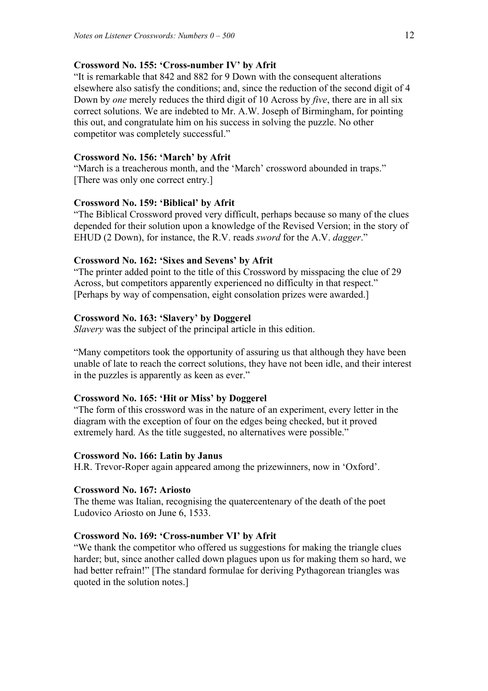## **Crossword No. 155: 'Cross-number IV' by Afrit**

"It is remarkable that 842 and 882 for 9 Down with the consequent alterations elsewhere also satisfy the conditions; and, since the reduction of the second digit of 4 Down by *one* merely reduces the third digit of 10 Across by *five*, there are in all six correct solutions. We are indebted to Mr. A.W. Joseph of Birmingham, for pointing this out, and congratulate him on his success in solving the puzzle. No other competitor was completely successful."

## **Crossword No. 156: 'March' by Afrit**

"March is a treacherous month, and the 'March' crossword abounded in traps." [There was only one correct entry.]

### **Crossword No. 159: 'Biblical' by Afrit**

"The Biblical Crossword proved very difficult, perhaps because so many of the clues depended for their solution upon a knowledge of the Revised Version; in the story of EHUD (2 Down), for instance, the R.V. reads *sword* for the A.V. *dagger*."

## **Crossword No. 162: 'Sixes and Sevens' by Afrit**

"The printer added point to the title of this Crossword by misspacing the clue of 29 Across, but competitors apparently experienced no difficulty in that respect." [Perhaps by way of compensation, eight consolation prizes were awarded.]

### **Crossword No. 163: 'Slavery' by Doggerel**

*Slavery* was the subject of the principal article in this edition.

"Many competitors took the opportunity of assuring us that although they have been unable of late to reach the correct solutions, they have not been idle, and their interest in the puzzles is apparently as keen as ever."

#### **Crossword No. 165: 'Hit or Miss' by Doggerel**

"The form of this crossword was in the nature of an experiment, every letter in the diagram with the exception of four on the edges being checked, but it proved extremely hard. As the title suggested, no alternatives were possible."

### **Crossword No. 166: Latin by Janus**

H.R. Trevor-Roper again appeared among the prizewinners, now in 'Oxford'.

### **Crossword No. 167: Ariosto**

The theme was Italian, recognising the quatercentenary of the death of the poet Ludovico Ariosto on June 6, 1533.

## **Crossword No. 169: 'Cross-number VI' by Afrit**

"We thank the competitor who offered us suggestions for making the triangle clues harder; but, since another called down plagues upon us for making them so hard, we had better refrain!" [The standard formulae for deriving Pythagorean triangles was quoted in the solution notes.]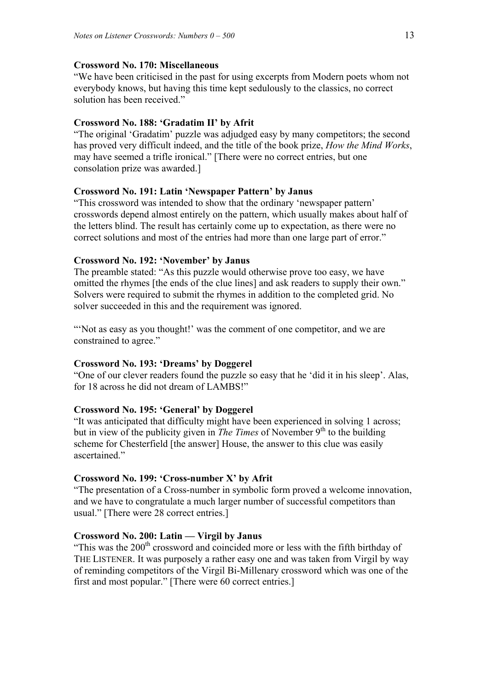# **Crossword No. 170: Miscellaneous**

"We have been criticised in the past for using excerpts from Modern poets whom not everybody knows, but having this time kept sedulously to the classics, no correct solution has been received."

# **Crossword No. 188: 'Gradatim II' by Afrit**

"The original 'Gradatim' puzzle was adjudged easy by many competitors; the second has proved very difficult indeed, and the title of the book prize, *How the Mind Works*, may have seemed a trifle ironical." [There were no correct entries, but one consolation prize was awarded.]

# **Crossword No. 191: Latin 'Newspaper Pattern' by Janus**

"This crossword was intended to show that the ordinary 'newspaper pattern' crosswords depend almost entirely on the pattern, which usually makes about half of the letters blind. The result has certainly come up to expectation, as there were no correct solutions and most of the entries had more than one large part of error."

# **Crossword No. 192: 'November' by Janus**

The preamble stated: "As this puzzle would otherwise prove too easy, we have omitted the rhymes [the ends of the clue lines] and ask readers to supply their own." Solvers were required to submit the rhymes in addition to the completed grid. No solver succeeded in this and the requirement was ignored.

"Not as easy as you thought!' was the comment of one competitor, and we are constrained to agree."

# **Crossword No. 193: 'Dreams' by Doggerel**

"One of our clever readers found the puzzle so easy that he 'did it in his sleep'. Alas, for 18 across he did not dream of LAMBS!"

# **Crossword No. 195: 'General' by Doggerel**

"It was anticipated that difficulty might have been experienced in solving 1 across; but in view of the publicity given in *The Times* of November 9<sup>th</sup> to the building scheme for Chesterfield [the answer] House, the answer to this clue was easily ascertained."

# **Crossword No. 199: 'Cross-number X' by Afrit**

"The presentation of a Cross-number in symbolic form proved a welcome innovation, and we have to congratulate a much larger number of successful competitors than usual." [There were 28 correct entries.]

# **Crossword No. 200: Latin — Virgil by Janus**

"This was the  $200<sup>th</sup>$  crossword and coincided more or less with the fifth birthday of THE LISTENER. It was purposely a rather easy one and was taken from Virgil by way of reminding competitors of the Virgil Bi-Millenary crossword which was one of the first and most popular." [There were 60 correct entries.]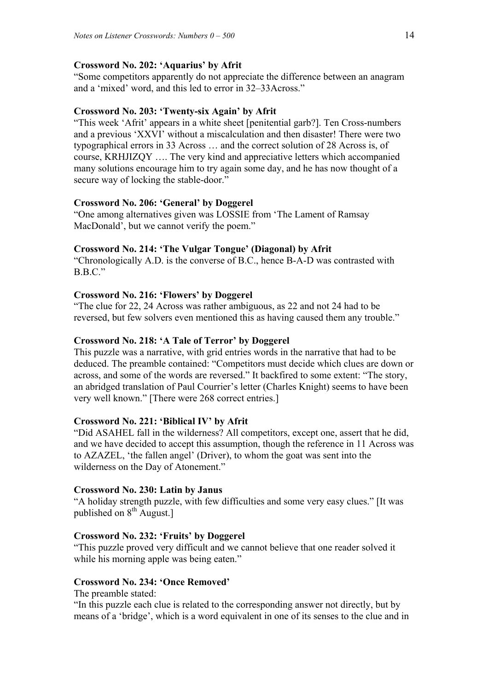# **Crossword No. 202: 'Aquarius' by Afrit**

"Some competitors apparently do not appreciate the difference between an anagram and a 'mixed' word, and this led to error in 32–33Across."

# **Crossword No. 203: 'Twenty-six Again' by Afrit**

"This week 'Afrit' appears in a white sheet [penitential garb?]. Ten Cross-numbers and a previous 'XXVI' without a miscalculation and then disaster! There were two typographical errors in 33 Across … and the correct solution of 28 Across is, of course, KRHJIZQY …. The very kind and appreciative letters which accompanied many solutions encourage him to try again some day, and he has now thought of a secure way of locking the stable-door."

# **Crossword No. 206: 'General' by Doggerel**

"One among alternatives given was LOSSIE from 'The Lament of Ramsay MacDonald', but we cannot verify the poem."

# **Crossword No. 214: 'The Vulgar Tongue' (Diagonal) by Afrit**

"Chronologically A.D. is the converse of B.C., hence B-A-D was contrasted with B.B.C."

# **Crossword No. 216: 'Flowers' by Doggerel**

"The clue for 22, 24 Across was rather ambiguous, as 22 and not 24 had to be reversed, but few solvers even mentioned this as having caused them any trouble."

# **Crossword No. 218: 'A Tale of Terror' by Doggerel**

This puzzle was a narrative, with grid entries words in the narrative that had to be deduced. The preamble contained: "Competitors must decide which clues are down or across, and some of the words are reversed." It backfired to some extent: "The story, an abridged translation of Paul Courrier's letter (Charles Knight) seems to have been very well known." [There were 268 correct entries.]

# **Crossword No. 221: 'Biblical IV' by Afrit**

"Did ASAHEL fall in the wilderness? All competitors, except one, assert that he did, and we have decided to accept this assumption, though the reference in 11 Across was to AZAZEL, 'the fallen angel' (Driver), to whom the goat was sent into the wilderness on the Day of Atonement."

# **Crossword No. 230: Latin by Janus**

"A holiday strength puzzle, with few difficulties and some very easy clues." [It was published on  $8<sup>th</sup>$  August.]

# **Crossword No. 232: 'Fruits' by Doggerel**

"This puzzle proved very difficult and we cannot believe that one reader solved it while his morning apple was being eaten."

# **Crossword No. 234: 'Once Removed'**

The preamble stated:

"In this puzzle each clue is related to the corresponding answer not directly, but by means of a 'bridge', which is a word equivalent in one of its senses to the clue and in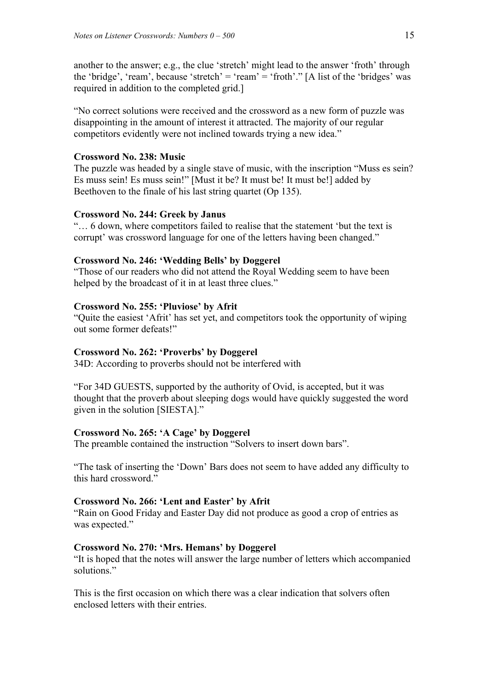another to the answer; e.g., the clue 'stretch' might lead to the answer 'froth' through the 'bridge', 'ream', because 'stretch' = 'ream' = 'froth'." [A list of the 'bridges' was required in addition to the completed grid.]

"No correct solutions were received and the crossword as a new form of puzzle was disappointing in the amount of interest it attracted. The majority of our regular competitors evidently were not inclined towards trying a new idea."

# **Crossword No. 238: Music**

The puzzle was headed by a single stave of music, with the inscription "Muss es sein? Es muss sein! Es muss sein!" [Must it be? It must be! It must be!] added by Beethoven to the finale of his last string quartet (Op 135).

## **Crossword No. 244: Greek by Janus**

"… 6 down, where competitors failed to realise that the statement 'but the text is corrupt' was crossword language for one of the letters having been changed."

## **Crossword No. 246: 'Wedding Bells' by Doggerel**

"Those of our readers who did not attend the Royal Wedding seem to have been helped by the broadcast of it in at least three clues."

# **Crossword No. 255: 'Pluviose' by Afrit**

"Quite the easiest 'Afrit' has set yet, and competitors took the opportunity of wiping out some former defeats!"

### **Crossword No. 262: 'Proverbs' by Doggerel**

34D: According to proverbs should not be interfered with

"For 34D GUESTS, supported by the authority of Ovid, is accepted, but it was thought that the proverb about sleeping dogs would have quickly suggested the word given in the solution [SIESTA]."

### **Crossword No. 265: 'A Cage' by Doggerel**

The preamble contained the instruction "Solvers to insert down bars".

"The task of inserting the 'Down' Bars does not seem to have added any difficulty to this hard crossword."

# **Crossword No. 266: 'Lent and Easter' by Afrit**

"Rain on Good Friday and Easter Day did not produce as good a crop of entries as was expected."

## **Crossword No. 270: 'Mrs. Hemans' by Doggerel**

"It is hoped that the notes will answer the large number of letters which accompanied solutions."

This is the first occasion on which there was a clear indication that solvers often enclosed letters with their entries.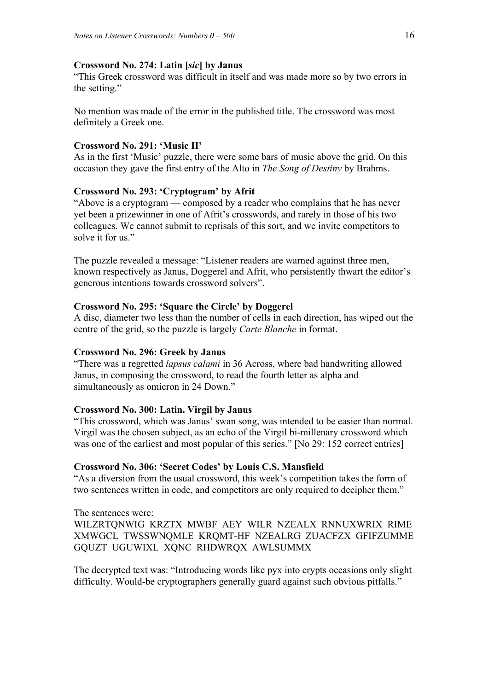# **Crossword No. 274: Latin [***sic***] by Janus**

"This Greek crossword was difficult in itself and was made more so by two errors in the setting."

No mention was made of the error in the published title. The crossword was most definitely a Greek one.

# **Crossword No. 291: 'Music II'**

As in the first 'Music' puzzle, there were some bars of music above the grid. On this occasion they gave the first entry of the Alto in *The Song of Destiny* by Brahms.

# **Crossword No. 293: 'Cryptogram' by Afrit**

"Above is a cryptogram — composed by a reader who complains that he has never yet been a prizewinner in one of Afrit's crosswords, and rarely in those of his two colleagues. We cannot submit to reprisals of this sort, and we invite competitors to solve it for us."

The puzzle revealed a message: "Listener readers are warned against three men, known respectively as Janus, Doggerel and Afrit, who persistently thwart the editor's generous intentions towards crossword solvers".

# **Crossword No. 295: 'Square the Circle' by Doggerel**

A disc, diameter two less than the number of cells in each direction, has wiped out the centre of the grid, so the puzzle is largely *Carte Blanche* in format.

# **Crossword No. 296: Greek by Janus**

"There was a regretted *lapsus calami* in 36 Across, where bad handwriting allowed Janus, in composing the crossword, to read the fourth letter as alpha and simultaneously as omicron in 24 Down."

# **Crossword No. 300: Latin. Virgil by Janus**

"This crossword, which was Janus' swan song, was intended to be easier than normal. Virgil was the chosen subject, as an echo of the Virgil bi-millenary crossword which was one of the earliest and most popular of this series." [No 29: 152 correct entries]

# **Crossword No. 306: 'Secret Codes' by Louis C.S. Mansfield**

"As a diversion from the usual crossword, this week's competition takes the form of two sentences written in code, and competitors are only required to decipher them."

The sentences were: WILZRTQNWIG KRZTX MWBF AEY WILR NZEALX RNNUXWRIX RIME XMWGCL TWSSWNQMLE KRQMT-HF NZEALRG ZUACFZX GFIFZUMME GQUZT UGUWIXL XQNC RHDWRQX AWLSUMMX

The decrypted text was: "Introducing words like pyx into crypts occasions only slight difficulty. Would-be cryptographers generally guard against such obvious pitfalls."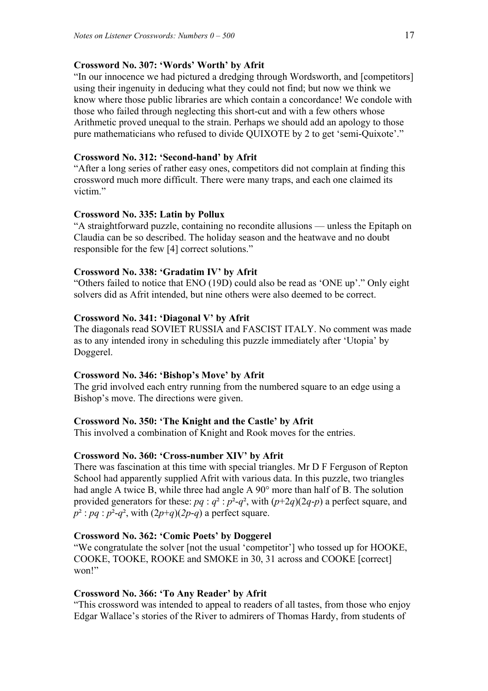### **Crossword No. 307: 'Words' Worth' by Afrit**

"In our innocence we had pictured a dredging through Wordsworth, and [competitors] using their ingenuity in deducing what they could not find; but now we think we know where those public libraries are which contain a concordance! We condole with those who failed through neglecting this short-cut and with a few others whose Arithmetic proved unequal to the strain. Perhaps we should add an apology to those pure mathematicians who refused to divide QUIXOTE by 2 to get 'semi-Quixote'."

# **Crossword No. 312: 'Second-hand' by Afrit**

"After a long series of rather easy ones, competitors did not complain at finding this crossword much more difficult. There were many traps, and each one claimed its victim<sup>"</sup>

### **Crossword No. 335: Latin by Pollux**

"A straightforward puzzle, containing no recondite allusions — unless the Epitaph on Claudia can be so described. The holiday season and the heatwave and no doubt responsible for the few [4] correct solutions."

## **Crossword No. 338: 'Gradatim IV' by Afrit**

"Others failed to notice that ENO (19D) could also be read as 'ONE up'." Only eight solvers did as Afrit intended, but nine others were also deemed to be correct.

### **Crossword No. 341: 'Diagonal V' by Afrit**

The diagonals read SOVIET RUSSIA and FASCIST ITALY. No comment was made as to any intended irony in scheduling this puzzle immediately after 'Utopia' by Doggerel.

### **Crossword No. 346: 'Bishop's Move' by Afrit**

The grid involved each entry running from the numbered square to an edge using a Bishop's move. The directions were given.

### **Crossword No. 350: 'The Knight and the Castle' by Afrit**

This involved a combination of Knight and Rook moves for the entries.

### **Crossword No. 360: 'Cross-number XIV' by Afrit**

There was fascination at this time with special triangles. Mr D F Ferguson of Repton School had apparently supplied Afrit with various data. In this puzzle, two triangles had angle A twice B, while three had angle A 90° more than half of B. The solution provided generators for these:  $pq : q^2 : p^2-q^2$ , with  $(p+2q)(2q-p)$  a perfect square, and  $p^2$ : *pq* :  $p^2$ -*q*<sup>2</sup>, with  $(2p+q)(2p-q)$  a perfect square.

# **Crossword No. 362: 'Comic Poets' by Doggerel**

"We congratulate the solver [not the usual 'competitor'] who tossed up for HOOKE, COOKE, TOOKE, ROOKE and SMOKE in 30, 31 across and COOKE [correct] won!"

### **Crossword No. 366: 'To Any Reader' by Afrit**

"This crossword was intended to appeal to readers of all tastes, from those who enjoy Edgar Wallace's stories of the River to admirers of Thomas Hardy, from students of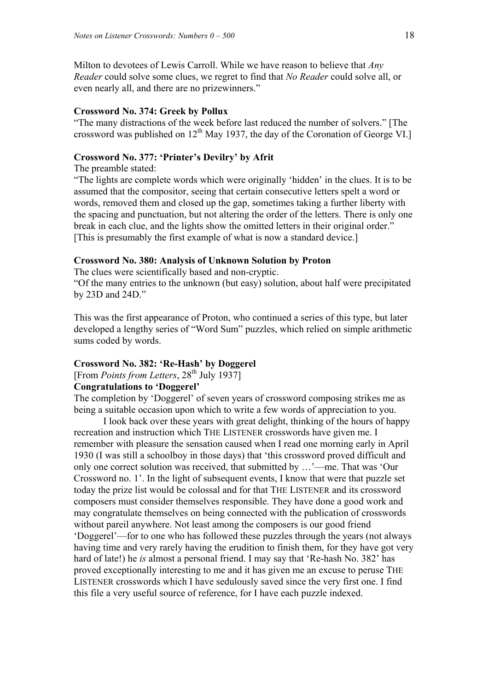Milton to devotees of Lewis Carroll. While we have reason to believe that *Any Reader* could solve some clues, we regret to find that *No Reader* could solve all, or even nearly all, and there are no prizewinners."

#### **Crossword No. 374: Greek by Pollux**

"The many distractions of the week before last reduced the number of solvers." [The crossword was published on  $12^{th}$  May 1937, the day of the Coronation of George VI.]

# **Crossword No. 377: 'Printer's Devilry' by Afrit**

## The preamble stated:

"The lights are complete words which were originally 'hidden' in the clues. It is to be assumed that the compositor, seeing that certain consecutive letters spelt a word or words, removed them and closed up the gap, sometimes taking a further liberty with the spacing and punctuation, but not altering the order of the letters. There is only one break in each clue, and the lights show the omitted letters in their original order." [This is presumably the first example of what is now a standard device.]

### **Crossword No. 380: Analysis of Unknown Solution by Proton**

The clues were scientifically based and non-cryptic.

"Of the many entries to the unknown (but easy) solution, about half were precipitated by 23D and 24D."

This was the first appearance of Proton, who continued a series of this type, but later developed a lengthy series of "Word Sum" puzzles, which relied on simple arithmetic sums coded by words.

## **Crossword No. 382: 'Re-Hash' by Doggerel**

[From *Points from Letters*, 28<sup>th</sup> July 1937]

# **Congratulations to 'Doggerel'**

The completion by 'Doggerel' of seven years of crossword composing strikes me as being a suitable occasion upon which to write a few words of appreciation to you.

 I look back over these years with great delight, thinking of the hours of happy recreation and instruction which THE LISTENER crosswords have given me. I remember with pleasure the sensation caused when I read one morning early in April 1930 (I was still a schoolboy in those days) that 'this crossword proved difficult and only one correct solution was received, that submitted by …'—me. That was 'Our Crossword no. 1'. In the light of subsequent events, I know that were that puzzle set today the prize list would be colossal and for that THE LISTENER and its crossword composers must consider themselves responsible. They have done a good work and may congratulate themselves on being connected with the publication of crosswords without pareil anywhere. Not least among the composers is our good friend 'Doggerel'—for to one who has followed these puzzles through the years (not always having time and very rarely having the erudition to finish them, for they have got very hard of late!) he *is* almost a personal friend. I may say that 'Re-hash No. 382' has proved exceptionally interesting to me and it has given me an excuse to peruse THE LISTENER crosswords which I have sedulously saved since the very first one. I find this file a very useful source of reference, for I have each puzzle indexed.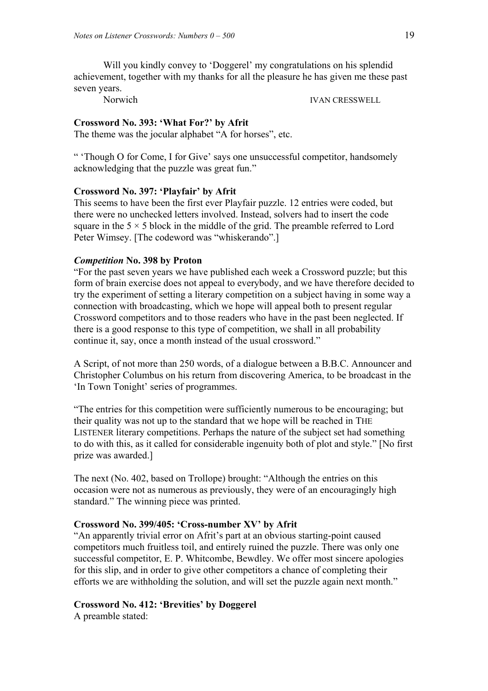Will you kindly convey to 'Doggerel' my congratulations on his splendid achievement, together with my thanks for all the pleasure he has given me these past seven years.

Norwich IVAN CRESSWELL

### **Crossword No. 393: 'What For?' by Afrit**

The theme was the jocular alphabet "A for horses", etc.

" 'Though O for Come, I for Give' says one unsuccessful competitor, handsomely acknowledging that the puzzle was great fun."

#### **Crossword No. 397: 'Playfair' by Afrit**

This seems to have been the first ever Playfair puzzle. 12 entries were coded, but there were no unchecked letters involved. Instead, solvers had to insert the code square in the  $5 \times 5$  block in the middle of the grid. The preamble referred to Lord Peter Wimsey. [The codeword was "whiskerando".]

## *Competition* **No. 398 by Proton**

"For the past seven years we have published each week a Crossword puzzle; but this form of brain exercise does not appeal to everybody, and we have therefore decided to try the experiment of setting a literary competition on a subject having in some way a connection with broadcasting, which we hope will appeal both to present regular Crossword competitors and to those readers who have in the past been neglected. If there is a good response to this type of competition, we shall in all probability continue it, say, once a month instead of the usual crossword."

A Script, of not more than 250 words, of a dialogue between a B.B.C. Announcer and Christopher Columbus on his return from discovering America, to be broadcast in the 'In Town Tonight' series of programmes.

"The entries for this competition were sufficiently numerous to be encouraging; but their quality was not up to the standard that we hope will be reached in THE LISTENER literary competitions. Perhaps the nature of the subject set had something to do with this, as it called for considerable ingenuity both of plot and style." [No first prize was awarded.]

The next (No. 402, based on Trollope) brought: "Although the entries on this occasion were not as numerous as previously, they were of an encouragingly high standard." The winning piece was printed.

### **Crossword No. 399/405: 'Cross-number XV' by Afrit**

"An apparently trivial error on Afrit's part at an obvious starting-point caused competitors much fruitless toil, and entirely ruined the puzzle. There was only one successful competitor, E. P. Whitcombe, Bewdley. We offer most sincere apologies for this slip, and in order to give other competitors a chance of completing their efforts we are withholding the solution, and will set the puzzle again next month."

## **Crossword No. 412: 'Brevities' by Doggerel**

A preamble stated: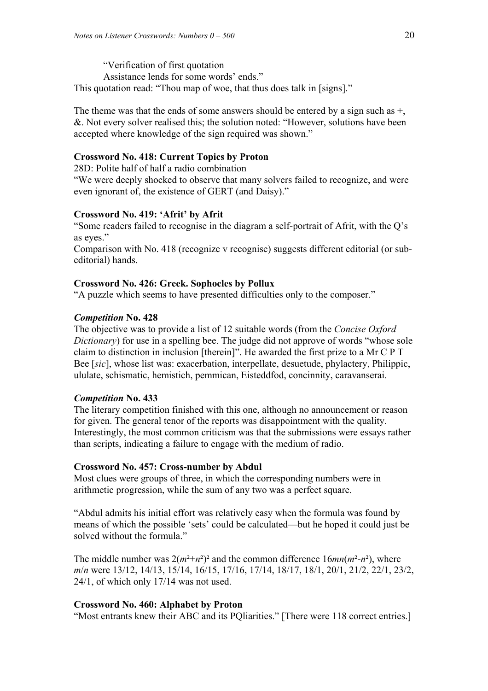"Verification of first quotation Assistance lends for some words' ends." This quotation read: "Thou map of woe, that thus does talk in [signs]."

The theme was that the ends of some answers should be entered by a sign such as +, &. Not every solver realised this; the solution noted: "However, solutions have been accepted where knowledge of the sign required was shown."

## **Crossword No. 418: Current Topics by Proton**

28D: Polite half of half a radio combination

"We were deeply shocked to observe that many solvers failed to recognize, and were even ignorant of, the existence of GERT (and Daisy)."

## **Crossword No. 419: 'Afrit' by Afrit**

"Some readers failed to recognise in the diagram a self-portrait of Afrit, with the Q's as eyes."

Comparison with No. 418 (recognize v recognise) suggests different editorial (or subeditorial) hands.

# **Crossword No. 426: Greek. Sophocles by Pollux**

"A puzzle which seems to have presented difficulties only to the composer."

## *Competition* **No. 428**

The objective was to provide a list of 12 suitable words (from the *Concise Oxford Dictionary*) for use in a spelling bee. The judge did not approve of words "whose sole" claim to distinction in inclusion [therein]". He awarded the first prize to a Mr C P T Bee [*sic*], whose list was: exacerbation, interpellate, desuetude, phylactery, Philippic, ululate, schismatic, hemistich, pemmican, Eisteddfod, concinnity, caravanserai.

### *Competition* **No. 433**

The literary competition finished with this one, although no announcement or reason for given. The general tenor of the reports was disappointment with the quality. Interestingly, the most common criticism was that the submissions were essays rather than scripts, indicating a failure to engage with the medium of radio.

### **Crossword No. 457: Cross-number by Abdul**

Most clues were groups of three, in which the corresponding numbers were in arithmetic progression, while the sum of any two was a perfect square.

"Abdul admits his initial effort was relatively easy when the formula was found by means of which the possible 'sets' could be calculated—but he hoped it could just be solved without the formula."

The middle number was  $2(m^2+n^2)^2$  and the common difference  $16mn(m^2-n^2)$ , where *m*/*n* were 13/12, 14/13, 15/14, 16/15, 17/16, 17/14, 18/17, 18/1, 20/1, 21/2, 22/1, 23/2, 24/1, of which only 17/14 was not used.

# **Crossword No. 460: Alphabet by Proton**

"Most entrants knew their ABC and its PQliarities." [There were 118 correct entries.]